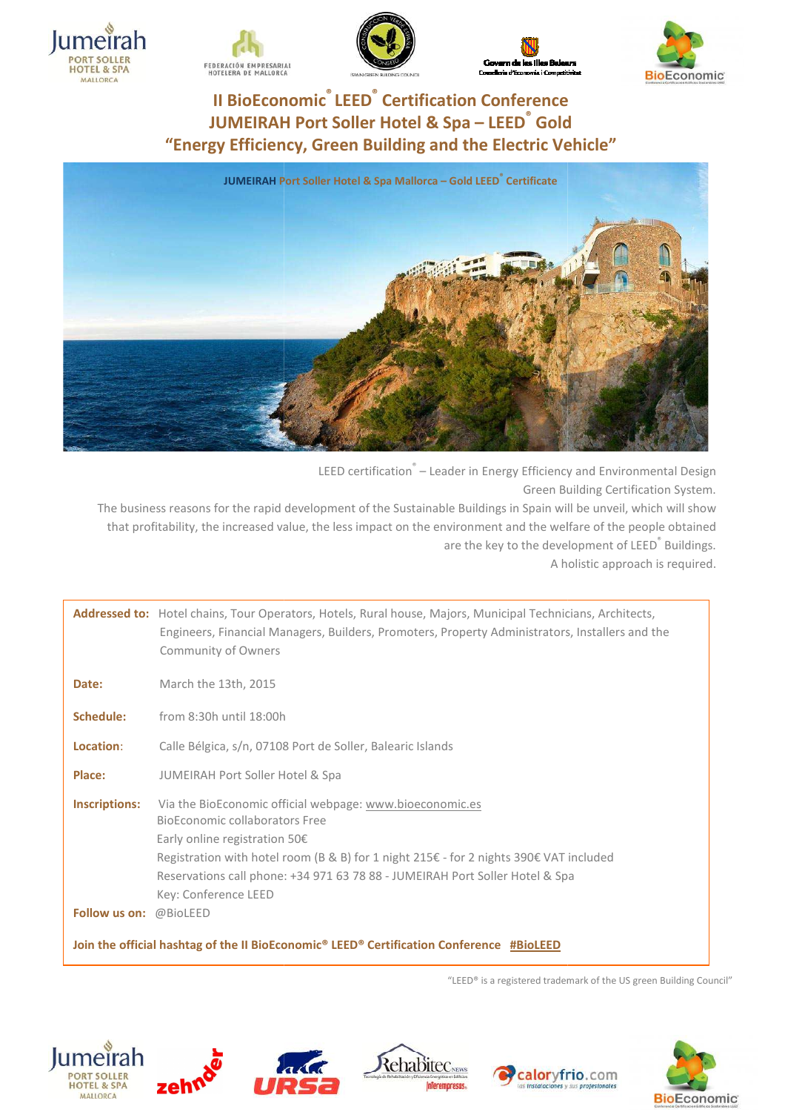











LEED certification<sup>®</sup> – Leader in Energy Efficiency and Environmental Design Green Building Certification System.

The business reasons for the rapid development of the Sustainable Buildings in Spain will be unveil, which will show that profitability, the increased value, the less impact on the environment and the welfare of the people obtained are the key to the development of LEED<sup>®</sup> Buildings. A holistic approach is required.

Addressed to: Hotel chains, Tour Operators, Hotels, Rural house, Majors, Municipal Technicians, Architects, Engineers, Financial Managers, Builders, Promoters, Property Administrators, Installers and the Community of Owners Date: March the 13th, 2015 **Schedule:** from 8:30h until 18:00h **Location**: Calle Bélgica, s/n, 07108 Port de Soller, Balearic Islands **Place:** JUMEIRAH Port Soller Hotel & Spa **Inscriptions:** Via the BioEconomic official webpage: www.bioeconomic.es BioEconomic collaborators collaborators Free Early online registration 50 50€ Registration with hotel room (B & B) for 1 night 215€ - for 2 nights 390€ VAT included Reservations call phone: +34 971 63 78 88 - JUMEIRAH Port Soller Hotel & Spa Key: Conference LEED **Follow us on:** @BioLEED of Owners<br>
3th, 2015<br>
until 18:00h<br>
a, s/n, 07108 Port de Soller, Balearic Islands<br>
Port Soller Hotel & Spa<br>
conomic official webpage: <u>www.bioeconomic.es</u> ouse, Majors, Municipal Technicians, Arc $\;$ moters, Property Administrators, Installe $\;$ nic Islands $\;$ bioeconomic.es $\;$ ht 215€ - for 2 nights 390€ VAT included

**Join the official hashtag of the II BioEconomic® LEED® tag LEED® Certification Conference #BioLEED**

"LEED® is a registered trademark of the US green Building Council Council"











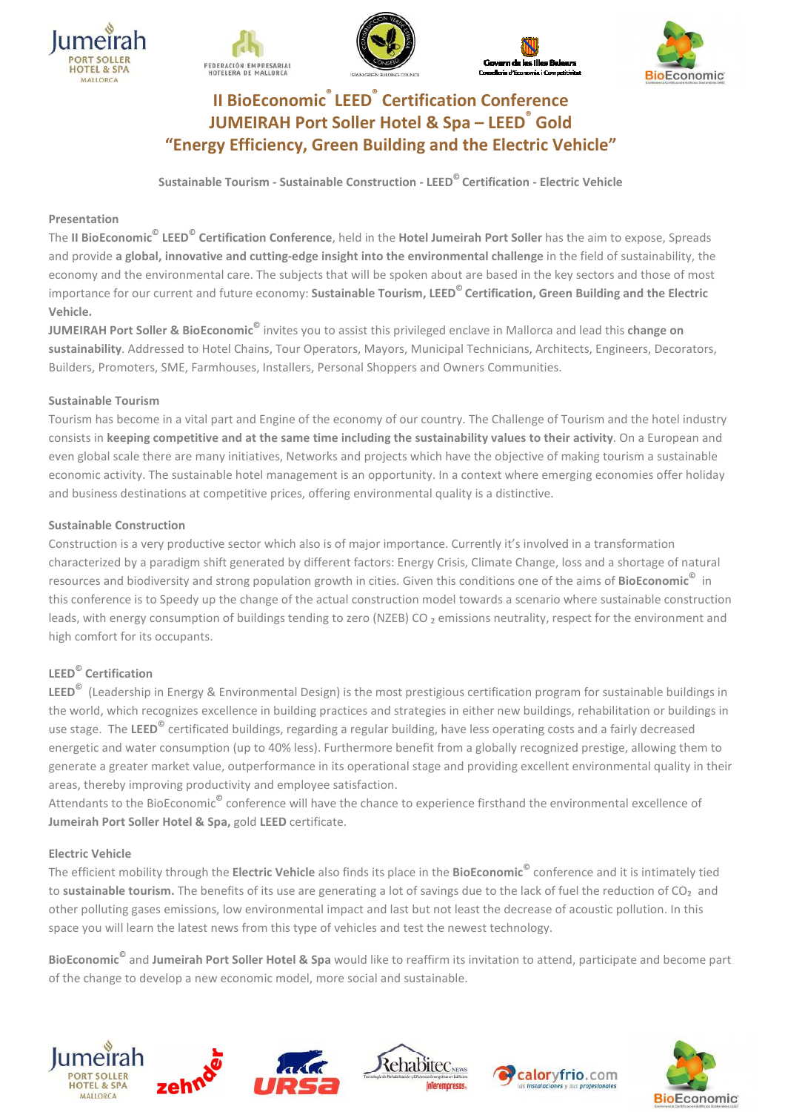









**Sustainable Tourism - Sustainable Construction Construction - LEED© Certification - Electric Vehicle**

## **Presentation**

The **II BioEconomic© LEED© Certification Conference** , held in the **Hotel Jumeirah Port Soller** has the aim to expose expose, Spreads and provide a global, innovative and cutting-edge insight into the environmental challenge in the field of sustainability, the economy and the environmental care. The subjects that will be spoken about are based in the key sectors and those of most importance for our current and future economy: **Sustainable Tourism, LEED© Certification, Green reen Building and the Electric Vehicle.**

**JUMEIRAH Port Soller & BioEconomic<sup>©</sup> invites you to assist this privileged enclave in Mallorca and lead this change on** sustainability. Addressed to Hotel Chains, Tour Operators, Mayors, Municipal Technicians, Architects, Engineers, Decorators, Builders, Promoters, SME, Farmhouses, Installers, Personal Shoppers and Owners Communities.

## **Sustainable Tourism**

Tourism has become in a vital part and Engine of the economy of our country. The Challenge of Tourism and the hotel industry consists in keeping competitive and at the same time including the sustainability values to their activity. On a European and even global scale there are many initiatives, Networks and projects which have the objective of making tourism a sustainable economic activity. The sustainable hotel management is an opportunity. In a context where emerging economies offer holiday and business destinations at competitive prices, offering environmental quality is a distinctive.

## **Sustainable Construction**

Construction is a very productive sector which also is of major importance. Currently it's involved in a transformation characterized by a paradigm shift generated by different factors: Energy Crisis, Climate Change, loss and a shortage of natural resources and biodiversity and strong population growth in cities. Given this conditions one of the aims of BioEconomic<sup>©</sup> in this conference is to Speedy up the change of the actual construction model towards a scenario where sustainable construction<br>leads, with energy consumption of buildings tending to zero (NZEB) CO <sub>2</sub> emissions neutrality, leads, with energy consumption of buildings tending to zero (NZEB) CO<sub>2</sub> emissions neutrality, respect for the environment and high comfort for its occupants.

## **LEED© Certification**

LEED<sup>©</sup> (Leadership in Energy & Environmental Design) is the most prestigious certification program for sustainable buildings in the world, which recognizes excellence in building practices and strategies in either new buildings, rehabilitation or buildings in use stage. The LEED<sup>©</sup> certificated buildings, regarding a regular building, have less operating costs and a fairly decreased energetic and water consumption (up to 40% less). Furthermore benefit from a globally recognized prestige, allowing them to generate a greater market value, outperformance in its operational stage and providing excellent environmental quality in their areas, thereby improving productivity and employee satisfaction satisfaction.

Attendants to the BioEconomic**©** conference will have the chance to experience firsthand the environmental excellence of **Jumeirah Port Soller Hotel & Spa,** gold **LEED** certificate.

## **Electric Vehicle**

The efficient mobility through the Electric Vehicle also finds its place in the BioEconomic<sup>©</sup> conference and it is intimately tied to sustainable tourism. The benefits of its use are generating a lot of savings due to the lack of fuel the reduction of CO<sub>2</sub> and other polluting gases emissions, low environmental impact and last but not least the decrease of acoustic pollution. In this space you will learn the latest news from this type of vehicles and test the newest technology.

**BioEconomic<sup>©</sup> and Jumeirah Port Soller Hotel & Spa** would like to reaffirm its invitation to attend, participate and become part of the change to develop a new economic model, more social and sustainable.









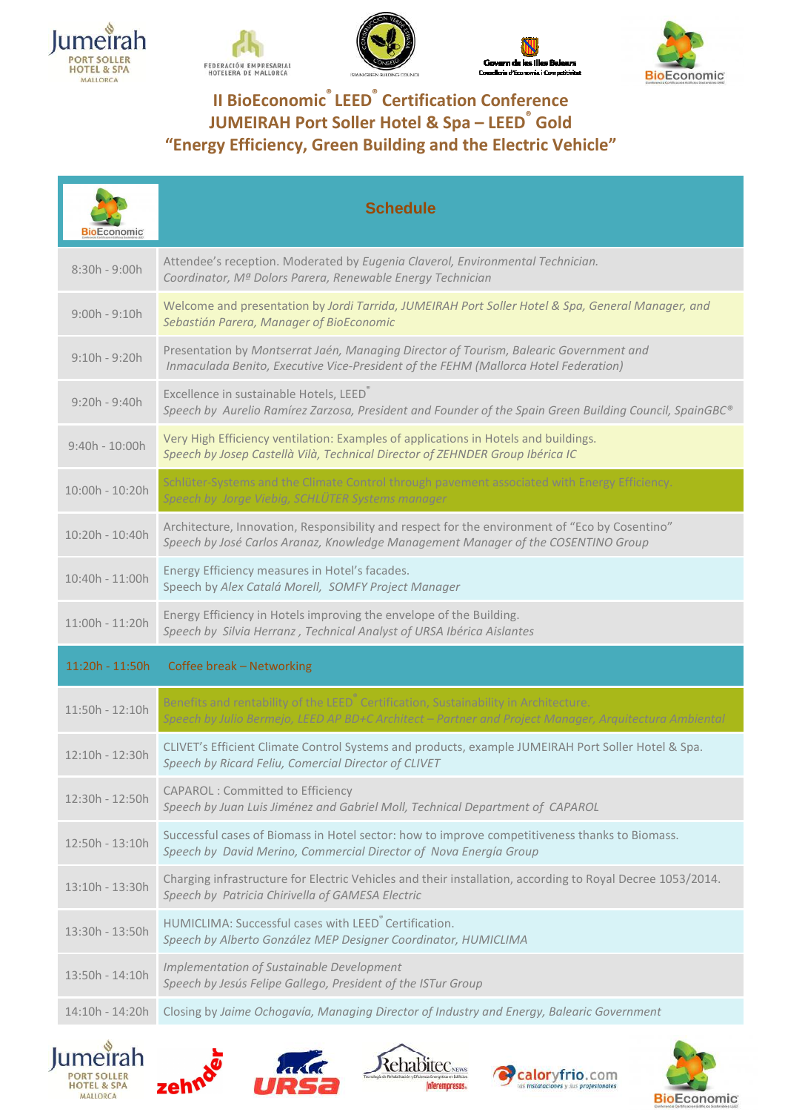









| <b>BioEconomic</b> | <b>Schedule</b>                                                                                                                                                                                           |
|--------------------|-----------------------------------------------------------------------------------------------------------------------------------------------------------------------------------------------------------|
| $8:30h - 9:00h$    | Attendee's reception. Moderated by Eugenia Claverol, Environmental Technician.<br>Coordinator, Mª Dolors Parera, Renewable Energy Technician                                                              |
| $9:00h - 9:10h$    | Welcome and presentation by Jordi Tarrida, JUMEIRAH Port Soller Hotel & Spa, General Manager, and<br>Sebastián Parera, Manager of BioEconomic                                                             |
| $9:10h - 9:20h$    | Presentation by Montserrat Jaén, Managing Director of Tourism, Balearic Government and<br>Inmaculada Benito, Executive Vice-President of the FEHM (Mallorca Hotel Federation)                             |
| $9:20h - 9:40h$    | Excellence in sustainable Hotels, LEED®<br>Speech by Aurelio Ramírez Zarzosa, President and Founder of the Spain Green Building Council, SpainGBC®                                                        |
| $9:40h - 10:00h$   | Very High Efficiency ventilation: Examples of applications in Hotels and buildings.<br>Speech by Josep Castellà Vilà, Technical Director of ZEHNDER Group Ibérica IC                                      |
| 10:00h - 10:20h    | Schlüter-Systems and the Climate Control through pavement associated with Energy Efficiency.<br>Speech by Jorge Viebig, SCHLÜTER Systems manager                                                          |
| 10:20h - 10:40h    | Architecture, Innovation, Responsibility and respect for the environment of "Eco by Cosentino"<br>Speech by José Carlos Aranaz, Knowledge Management Manager of the COSENTINO Group                       |
| 10:40h - 11:00h    | Energy Efficiency measures in Hotel's facades.<br>Speech by Alex Catalá Morell, SOMFY Project Manager                                                                                                     |
| 11:00h - 11:20h    | Energy Efficiency in Hotels improving the envelope of the Building.<br>Speech by Silvia Herranz, Technical Analyst of URSA Ibérica Aislantes                                                              |
| 11:20h - 11:50h    | Coffee break - Networking                                                                                                                                                                                 |
| 11:50h - 12:10h    | Benefits and rentability of the LEED <sup>®</sup> Certification, Sustainability in Architecture.<br>Speech by Julio Bermejo, LEED AP BD+C Architect - Partner and Project Manager, Arquitectura Ambiental |
| 12:10h - 12:30h    | CLIVET's Efficient Climate Control Systems and products, example JUMEIRAH Port Soller Hotel & Spa.<br>Speech by Ricard Feliu, Comercial Director of CLIVET                                                |
| 12:30h - 12:50h    | <b>CAPAROL: Committed to Efficiency</b><br>Speech by Juan Luis Jiménez and Gabriel Moll, Technical Department of CAPAROL                                                                                  |
| 12:50h - 13:10h    | Successful cases of Biomass in Hotel sector: how to improve competitiveness thanks to Biomass.<br>Speech by David Merino, Commercial Director of Nova Energía Group                                       |
| $13:10h - 13:30h$  | Charging infrastructure for Electric Vehicles and their installation, according to Royal Decree 1053/2014.<br>Speech by Patricia Chirivella of GAMESA Electric                                            |
| 13:30h - 13:50h    | HUMICLIMA: Successful cases with LEED <sup>®</sup> Certification.<br>Speech by Alberto González MEP Designer Coordinator, HUMICLIMA                                                                       |
| 13:50h - 14:10h    | Implementation of Sustainable Development<br>Speech by Jesús Felipe Gallego, President of the ISTur Group                                                                                                 |
| 14:10h - 14:20h    | Closing by Jaime Ochogavía, Managing Director of Industry and Energy, Balearic Government                                                                                                                 |
|                    |                                                                                                                                                                                                           |









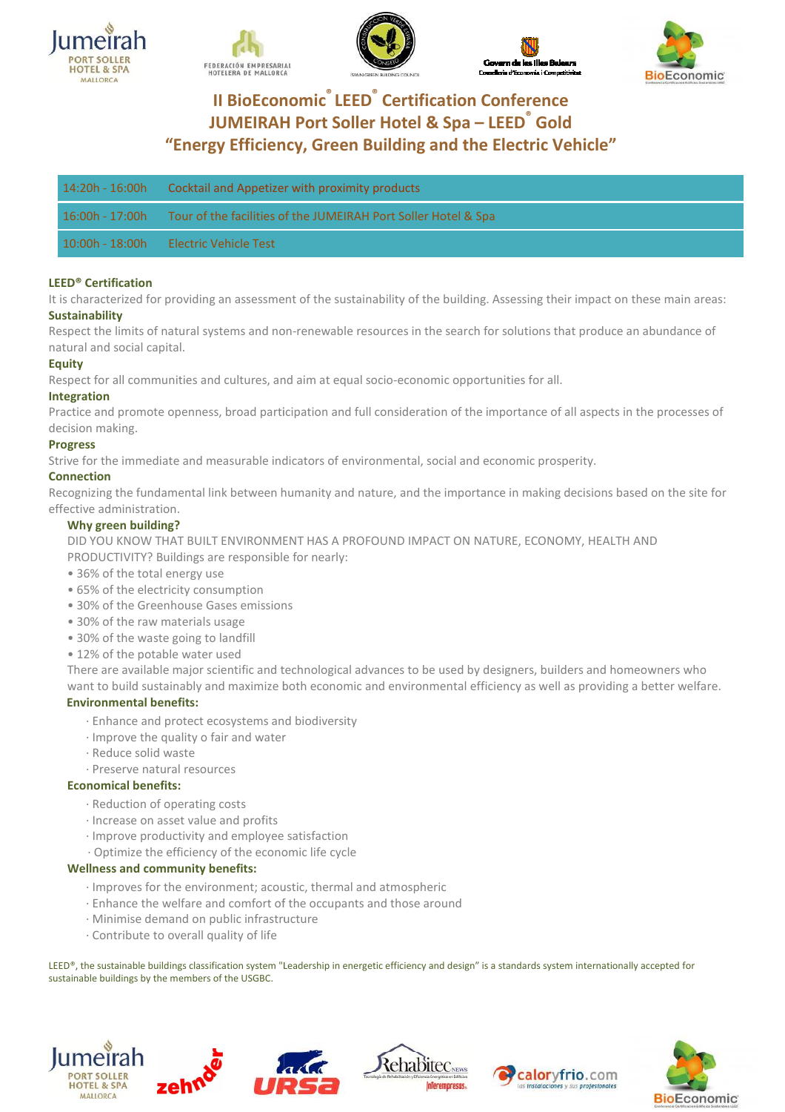









| $14:20h - 16:00h$ | Cocktail and Appetizer with proximity products                 |
|-------------------|----------------------------------------------------------------|
| $16:00h - 17:00h$ | Tour of the facilities of the JUMEIRAH Port Soller Hotel & Spa |
| $10:00h - 18:00h$ | - Electric Vehicle Test                                        |

### **LEED® Certification**

It is characterized for providing an assessment of the sustainability of the building. Assessing their impact on these main areas: **Sustainability** 

Respect the limits of natural systems and non-renewable resources in the search for solutions that produce an abundance of natural and social capital.

#### **Equity**

Respect for all communities and cultures, and aim at equal socio-economic opportunities for all.

#### **Integration**

Practice and promote openness, broad participation and full consideration of the importance of all aspects in the processes of decision making.

### **Progress**

Strive for the immediate and measurable indicators of environmental, social and economic prosperity.

### **Connection**

Recognizing the fundamental link between humanity and nature, and the importance in making decisions based on the site for effective administration.

### **Why green building?**

DID YOU KNOW THAT BUILT ENVIRONMENT HAS A PROFOUND IMPACT ON NATURE, ECONOMY, HEALTH AND PRODUCTIVITY? Buildings are responsible for nearly:

- 36% of the total energy use
- 65% of the electricity consumption
- 30% of the Greenhouse Gases emissions
- 30% of the raw materials usage
- 30% of the waste going to landfill
- 12% of the potable water used

There are available major scientific and technological advances to be used by designers, builders and homeowners who want to build sustainably and maximize both economic and environmental efficiency as well as providing a better welfare.

### **Environmental benefits:**

- · Enhance and protect ecosystems and biodiversity
- · Improve the quality o fair and water
- · Reduce solid waste
- · Preserve natural resources

## **Economical benefits:**

- · Reduction of operating costs
- · Increase on asset value and profits
- Improve productivity and employee satisfaction
- · Optimize the efficiency of the economic life cycle

#### **Wellness and community benefits:**

- Improves for the environment; acoustic, thermal and atmospheric
- $\cdot$  Enhance the welfare and comfort of the occupants and those around
	- · Minimise demand on public infrastructure
	- · Contribute to overall quality of life

LEED®, the sustainable buildings classification system "Leadership in energetic efficiency and design" is a standards system internationally accepted for sustainable buildings by the members of the USGBC.









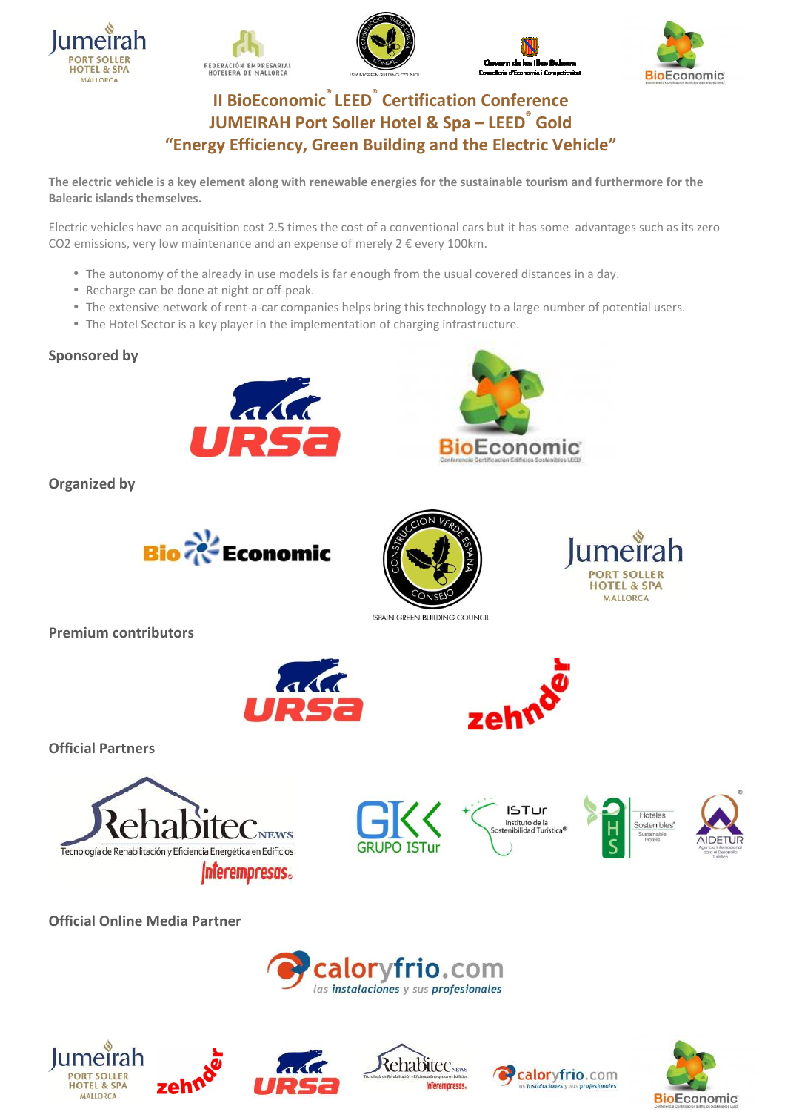









**The electric vehicle is a key element along with renewable energies for the sustainable tourism and furthermore for the Balearic islands themselves.** 

Electric vehicles have an acquisition cost 2.5 times the cost of a conventional cars but it has some advantages such as its zero CO2 emissions, very low maintenance and an expense of merely 2 € every 100km.

- The autonomy of the already in use models is far enough from the usual covered distances in a day.
- Recharge can be done at night or off-peak.
- The extensive network of rent-a-car companies helps bring this technology to a large number of potential users.
- The Hotel Sector is a key player in the implementation of charging infrastructure.

# **Sponsored by**



**Organized by** 





**(SPAIN GREEN BUILDING COUNCIL** 

**Premium contributors** 





**BioEconomic** 

**Official Partners** 









**HOTEL & SPA** MALLORCA



**Official Online Media Partner**